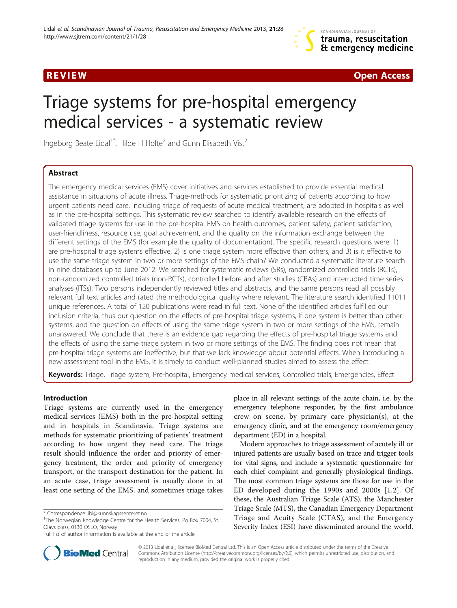**REVIEW CONTROL** CONTROL CONTROL CONTROL CONTROL CONTROL CONTROL CONTROL CONTROL CONTROL CONTROL CONTROL CONTROL CONTROL CONTROL CONTROL CONTROL CONTROL CONTROL CONTROL CONTROL CONTROL CONTROL CONTROL CONTROL CONTROL CONTR

# Triage systems for pre-hospital emergency medical services - a systematic review

Ingeborg Beate Lidal<sup>1\*</sup>, Hilde H Holte<sup>2</sup> and Gunn Elisabeth Vist<sup>2</sup>

# Abstract

The emergency medical services (EMS) cover initiatives and services established to provide essential medical assistance in situations of acute illness. Triage-methods for systematic prioritizing of patients according to how urgent patients need care, including triage of requests of acute medical treatment, are adopted in hospitals as well as in the pre-hospital settings. This systematic review searched to identify available research on the effects of validated triage systems for use in the pre-hospital EMS on health outcomes, patient safety, patient satisfaction, user-friendliness, resource use, goal achievement, and the quality on the information exchange between the different settings of the EMS (for example the quality of documentation). The specific research questions were: 1) are pre-hospital triage systems effective, 2) is one triage system more effective than others, and 3) is it effective to use the same triage system in two or more settings of the EMS-chain? We conducted a systematic literature search in nine databases up to June 2012. We searched for systematic reviews (SRs), randomized controlled trials (RCTs), non-randomized controlled trials (non-RCTs), controlled before and after studies (CBAs) and interrupted time series analyses (ITSs). Two persons independently reviewed titles and abstracts, and the same persons read all possibly relevant full text articles and rated the methodological quality where relevant. The literature search identified 11011 unique references. A total of 120 publications were read in full text. None of the identified articles fulfilled our inclusion criteria, thus our question on the effects of pre-hospital triage systems, if one system is better than other systems, and the question on effects of using the same triage system in two or more settings of the EMS, remain unanswered. We conclude that there is an evidence gap regarding the effects of pre-hospital triage systems and the effects of using the same triage system in two or more settings of the EMS. The finding does not mean that pre-hospital triage systems are ineffective, but that we lack knowledge about potential effects. When introducing a new assessment tool in the EMS, it is timely to conduct well-planned studies aimed to assess the effect.

Keywords: Triage, Triage system, Pre-hospital, Emergency medical services, Controlled trials, Emergencies, Effect

# Introduction

Triage systems are currently used in the emergency medical services (EMS) both in the pre-hospital setting and in hospitals in Scandinavia. Triage systems are methods for systematic prioritizing of patients' treatment according to how urgent they need care. The triage result should influence the order and priority of emergency treatment, the order and priority of emergency transport, or the transport destination for the patient. In an acute case, triage assessment is usually done in at least one setting of the EMS, and sometimes triage takes

place in all relevant settings of the acute chain, i.e. by the emergency telephone responder, by the first ambulance crew on scene, by primary care physician(s), at the emergency clinic, and at the emergency room/emergency department (ED) in a hospital.

Modern approaches to triage assessment of acutely ill or injured patients are usually based on trace and trigger tools for vital signs, and include a systematic questionnaire for each chief complaint and generally physiological findings. The most common triage systems are those for use in the ED developed during the 1990s and 2000s [[1,2](#page-4-0)]. Of these, the Australian Triage Scale (ATS), the Manchester Triage Scale (MTS), the Canadian Emergency Department Triage and Acuity Scale (CTAS), and the Emergency Severity Index (ESI) have disseminated around the world.



© 2013 Lidal et al.; licensee BioMed Central Ltd. This is an Open Access article distributed under the terms of the Creative Commons Attribution License [\(http://creativecommons.org/licenses/by/2.0\)](http://creativecommons.org/licenses/by/2.0), which permits unrestricted use, distribution, and reproduction in any medium, provided the original work is properly cited.

<sup>\*</sup> Correspondence: [ibl@kunnskapssenteret.no](mailto:ibl@kunnskapssenteret.no) <sup>1</sup>

<sup>&</sup>lt;sup>1</sup>The Norwegian Knowledge Centre for the Health Services, Po Box 7004, St. Olavs plass, 0130 OSLO, Norway

Full list of author information is available at the end of the article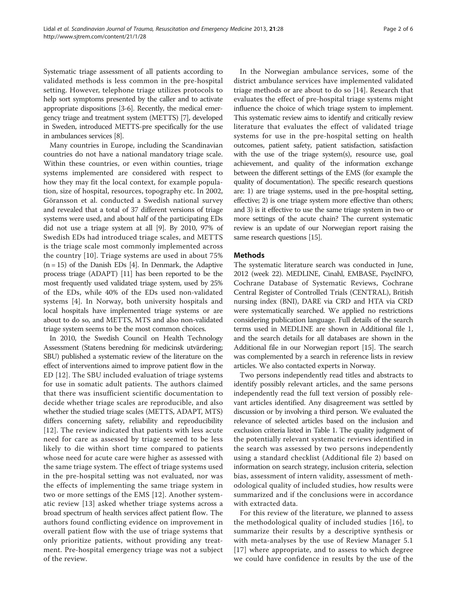Systematic triage assessment of all patients according to validated methods is less common in the pre-hospital setting. However, telephone triage utilizes protocols to help sort symptoms presented by the caller and to activate appropriate dispositions [[3](#page-4-0)-[6](#page-4-0)]. Recently, the medical emergency triage and treatment system (METTS) [\[7](#page-4-0)], developed in Sweden, introduced METTS-pre specifically for the use in ambulances services [[8](#page-4-0)].

Many countries in Europe, including the Scandinavian countries do not have a national mandatory triage scale. Within these countries, or even within counties, triage systems implemented are considered with respect to how they may fit the local context, for example population, size of hospital, resources, topography etc. In 2002, Göransson et al. conducted a Swedish national survey and revealed that a total of 37 different versions of triage systems were used, and about half of the participating EDs did not use a triage system at all [\[9](#page-4-0)]. By 2010, 97% of Swedish EDs had introduced triage scales, and METTS is the triage scale most commonly implemented across the country [\[10](#page-4-0)]. Triage systems are used in about 75%  $(n = 15)$  of the Danish EDs [\[4](#page-4-0)]. In Denmark, the Adaptive process triage (ADAPT) [\[11\]](#page-4-0) has been reported to be the most frequently used validated triage system, used by 25% of the EDs, while 40% of the EDs used non-validated systems [[4\]](#page-4-0). In Norway, both university hospitals and local hospitals have implemented triage systems or are about to do so, and METTS, MTS and also non-validated triage system seems to be the most common choices.

In 2010, the Swedish Council on Health Technology Assessment (Statens beredning för medicinsk utvärdering; SBU) published a systematic review of the literature on the effect of interventions aimed to improve patient flow in the ED [[12\]](#page-4-0). The SBU included evaluation of triage systems for use in somatic adult patients. The authors claimed that there was insufficient scientific documentation to decide whether triage scales are reproducible, and also whether the studied triage scales (METTS, ADAPT, MTS) differs concerning safety, reliability and reproducibility [[12](#page-4-0)]. The review indicated that patients with less acute need for care as assessed by triage seemed to be less likely to die within short time compared to patients whose need for acute care were higher as assessed with the same triage system. The effect of triage systems used in the pre-hospital setting was not evaluated, nor was the effects of implementing the same triage system in two or more settings of the EMS [\[12](#page-4-0)]. Another systematic review [\[13\]](#page-4-0) asked whether triage systems across a broad spectrum of health services affect patient flow. The authors found conflicting evidence on improvement in overall patient flow with the use of triage systems that only prioritize patients, without providing any treatment. Pre-hospital emergency triage was not a subject of the review.

In the Norwegian ambulance services, some of the district ambulance services have implemented validated triage methods or are about to do so [[14\]](#page-4-0). Research that evaluates the effect of pre-hospital triage systems might influence the choice of which triage system to implement. This systematic review aims to identify and critically review literature that evaluates the effect of validated triage systems for use in the pre-hospital setting on health outcomes, patient safety, patient satisfaction, satisfaction with the use of the triage system(s), resource use, goal achievement, and quality of the information exchange between the different settings of the EMS (for example the quality of documentation). The specific research questions are: 1) are triage systems, used in the pre-hospital setting, effective; 2) is one triage system more effective than others; and 3) is it effective to use the same triage system in two or more settings of the acute chain? The current systematic review is an update of our Norwegian report raising the same research questions [\[15\]](#page-5-0).

# Methods

The systematic literature search was conducted in June, 2012 (week 22). MEDLINE, Cinahl, EMBASE, PsycINFO, Cochrane Database of Systematic Reviews, Cochrane Central Register of Controlled Trials (CENTRAL), British nursing index (BNI), DARE via CRD and HTA via CRD were systematically searched. We applied no restrictions considering publication language. Full details of the search terms used in MEDLINE are shown in Additional file [1](#page-4-0), and the search details for all databases are shown in the Additional file in our Norwegian report [[15](#page-5-0)]. The search was complemented by a search in reference lists in review articles. We also contacted experts in Norway.

Two persons independently read titles and abstracts to identify possibly relevant articles, and the same persons independently read the full text version of possibly relevant articles identified. Any disagreement was settled by discussion or by involving a third person. We evaluated the relevance of selected articles based on the inclusion and exclusion criteria listed in Table [1.](#page-2-0) The quality judgment of the potentially relevant systematic reviews identified in the search was assessed by two persons independently using a standard checklist (Additional file [2\)](#page-4-0) based on information on search strategy, inclusion criteria, selection bias, assessment of intern validity, assessment of methodological quality of included studies, how results were summarized and if the conclusions were in accordance with extracted data.

For this review of the literature, we planned to assess the methodological quality of included studies [[16](#page-5-0)], to summarize their results by a descriptive synthesis or with meta-analyses by the use of Review Manager 5.1 [[17](#page-5-0)] where appropriate, and to assess to which degree we could have confidence in results by the use of the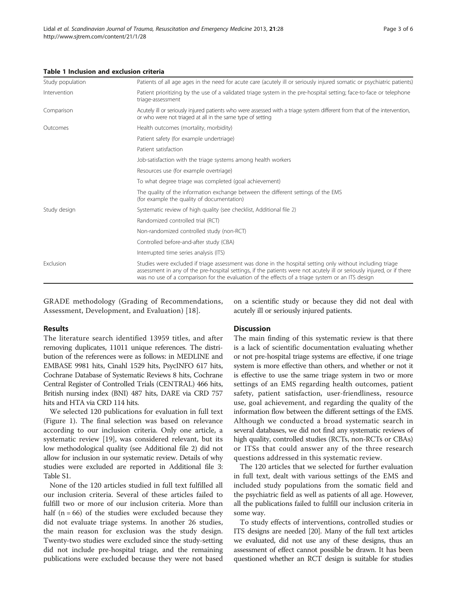| Study population | Patients of all age ages in the need for acute care (acutely ill or seriously injured somatic or psychiatric patients)                                                                                                                                                                                                                  |
|------------------|-----------------------------------------------------------------------------------------------------------------------------------------------------------------------------------------------------------------------------------------------------------------------------------------------------------------------------------------|
| Intervention     | Patient prioritizing by the use of a validated triage system in the pre-hospital setting; face-to-face or telephone<br>triage-assessment                                                                                                                                                                                                |
| Comparison       | Acutely ill or seriously injured patients who were assessed with a triage system different from that of the intervention,<br>or who were not triaged at all in the same type of setting                                                                                                                                                 |
| Outcomes         | Health outcomes (mortality, morbidity)                                                                                                                                                                                                                                                                                                  |
|                  | Patient safety (for example undertriage)                                                                                                                                                                                                                                                                                                |
|                  | Patient satisfaction                                                                                                                                                                                                                                                                                                                    |
|                  | Job-satisfaction with the triage systems among health workers                                                                                                                                                                                                                                                                           |
|                  | Resources use (for example overtriage)                                                                                                                                                                                                                                                                                                  |
|                  | To what degree triage was completed (goal achievement)                                                                                                                                                                                                                                                                                  |
|                  | The quality of the information exchange between the different settings of the EMS<br>(for example the quality of documentation)                                                                                                                                                                                                         |
| Study design     | Systematic review of high quality (see checklist, Additional file 2)                                                                                                                                                                                                                                                                    |
|                  | Randomized controlled trial (RCT)                                                                                                                                                                                                                                                                                                       |
|                  | Non-randomized controlled study (non-RCT)                                                                                                                                                                                                                                                                                               |
|                  | Controlled before-and-after study (CBA)                                                                                                                                                                                                                                                                                                 |
|                  | Interrupted time series analysis (ITS)                                                                                                                                                                                                                                                                                                  |
| Exclusion        | Studies were excluded if triage assessment was done in the hospital setting only without including triage<br>assessment in any of the pre-hospital settings, if the patients were not acutely ill or seriously injured, or if there<br>was no use of a comparison for the evaluation of the effects of a triage system or an ITS design |

### <span id="page-2-0"></span>Table 1 Inclusion and exclusion criteria

GRADE methodology (Grading of Recommendations, Assessment, Development, and Evaluation) [\[18\]](#page-5-0).

on a scientific study or because they did not deal with acutely ill or seriously injured patients.

## Results

The literature search identified 13959 titles, and after removing duplicates, 11011 unique references. The distribution of the references were as follows: in MEDLINE and EMBASE 9981 hits, Cinahl 1529 hits, PsycINFO 617 hits, Cochrane Database of Systematic Reviews 8 hits, Cochrane Central Register of Controlled Trials (CENTRAL) 466 hits, British nursing index (BNI) 487 hits, DARE via CRD 757 hits and HTA via CRD 114 hits.

We selected 120 publications for evaluation in full text (Figure [1](#page-3-0)). The final selection was based on relevance according to our inclusion criteria. Only one article, a systematic review [[19\]](#page-5-0), was considered relevant, but its low methodological quality (see Additional file [2](#page-4-0)) did not allow for inclusion in our systematic review. Details of why studies were excluded are reported in Additional file [3](#page-4-0): Table S1.

None of the 120 articles studied in full text fulfilled all our inclusion criteria. Several of these articles failed to fulfill two or more of our inclusion criteria. More than half  $(n = 66)$  of the studies were excluded because they did not evaluate triage systems. In another 26 studies, the main reason for exclusion was the study design. Twenty-two studies were excluded since the study-setting did not include pre-hospital triage, and the remaining publications were excluded because they were not based

#### **Discussion**

The main finding of this systematic review is that there is a lack of scientific documentation evaluating whether or not pre-hospital triage systems are effective, if one triage system is more effective than others, and whether or not it is effective to use the same triage system in two or more settings of an EMS regarding health outcomes, patient safety, patient satisfaction, user-friendliness, resource use, goal achievement, and regarding the quality of the information flow between the different settings of the EMS. Although we conducted a broad systematic search in several databases, we did not find any systematic reviews of high quality, controlled studies (RCTs, non-RCTs or CBAs) or ITSs that could answer any of the three research questions addressed in this systematic review.

The 120 articles that we selected for further evaluation in full text, dealt with various settings of the EMS and included study populations from the somatic field and the psychiatric field as well as patients of all age. However, all the publications failed to fulfill our inclusion criteria in some way.

To study effects of interventions, controlled studies or ITS designs are needed [\[20](#page-5-0)]. Many of the full text articles we evaluated, did not use any of these designs, thus an assessment of effect cannot possible be drawn. It has been questioned whether an RCT design is suitable for studies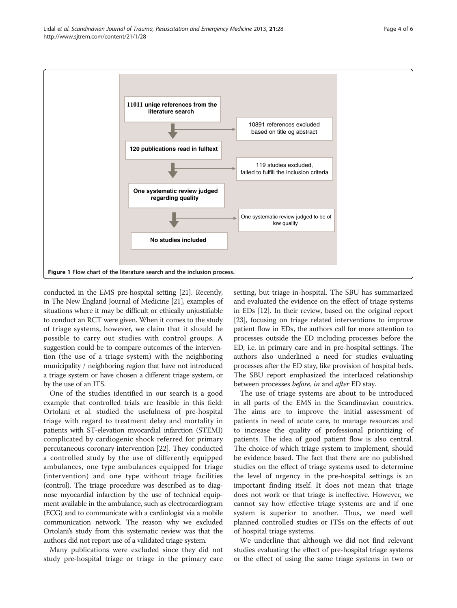<span id="page-3-0"></span>

conducted in the EMS pre-hospital setting [[21](#page-5-0)]. Recently, in The New England Journal of Medicine [\[21\]](#page-5-0), examples of situations where it may be difficult or ethically unjustifiable to conduct an RCT were given. When it comes to the study of triage systems, however, we claim that it should be possible to carry out studies with control groups. A suggestion could be to compare outcomes of the intervention (the use of a triage system) with the neighboring municipality / neighboring region that have not introduced a triage system or have chosen a different triage system, or by the use of an ITS.

One of the studies identified in our search is a good example that controlled trials are feasible in this field: Ortolani et al. studied the usefulness of pre-hospital triage with regard to treatment delay and mortality in patients with ST-elevation myocardial infarction (STEMI) complicated by cardiogenic shock referred for primary percutaneous coronary intervention [\[22\]](#page-5-0). They conducted a controlled study by the use of differently equipped ambulances, one type ambulances equipped for triage (intervention) and one type without triage facilities (control). The triage procedure was described as to diagnose myocardial infarction by the use of technical equipment available in the ambulance, such as electrocardiogram (ECG) and to communicate with a cardiologist via a mobile communication network. The reason why we excluded Ortolani's study from this systematic review was that the authors did not report use of a validated triage system.

Many publications were excluded since they did not study pre-hospital triage or triage in the primary care setting, but triage in-hospital. The SBU has summarized and evaluated the evidence on the effect of triage systems in EDs [\[12\]](#page-4-0). In their review, based on the original report [[23](#page-5-0)], focusing on triage related interventions to improve patient flow in EDs, the authors call for more attention to processes outside the ED including processes before the ED, i.e. in primary care and in pre-hospital settings. The authors also underlined a need for studies evaluating processes after the ED stay, like provision of hospital beds. The SBU report emphasized the interlaced relationship between processes before, in and after ED stay.

The use of triage systems are about to be introduced in all parts of the EMS in the Scandinavian countries. The aims are to improve the initial assessment of patients in need of acute care, to manage resources and to increase the quality of professional prioritizing of patients. The idea of good patient flow is also central. The choice of which triage system to implement, should be evidence based. The fact that there are no published studies on the effect of triage systems used to determine the level of urgency in the pre-hospital settings is an important finding itself. It does not mean that triage does not work or that triage is ineffective. However, we cannot say how effective triage systems are and if one system is superior to another. Thus, we need well planned controlled studies or ITSs on the effects of out of hospital triage systems.

We underline that although we did not find relevant studies evaluating the effect of pre-hospital triage systems or the effect of using the same triage systems in two or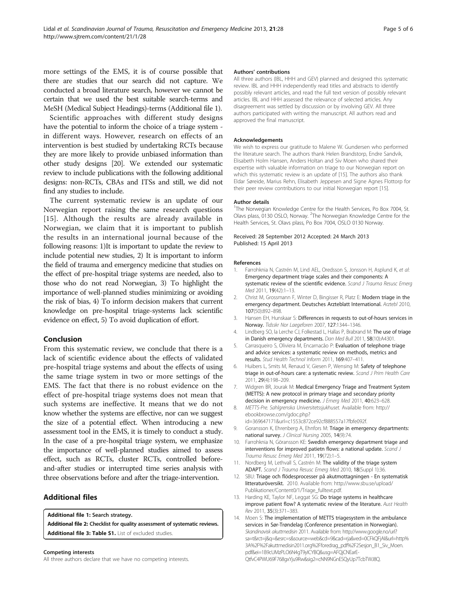<span id="page-4-0"></span>more settings of the EMS, it is of course possible that there are studies that our search did not capture. We conducted a broad literature search, however we cannot be certain that we used the best suitable search-terms and MeSH (Medical Subject Headings)-terms (Additional file 1).

Scientific approaches with different study designs have the potential to inform the choice of a triage system in different ways. However, research on effects of an intervention is best studied by undertaking RCTs because they are more likely to provide unbiased information than other study designs [\[20\]](#page-5-0). We extended our systematic review to include publications with the following additional designs: non-RCTs, CBAs and ITSs and still, we did not find any studies to include.

The current systematic review is an update of our Norwegian report raising the same research questions [[15](#page-5-0)]. Although the results are already available in Norwegian, we claim that it is important to publish the results in an international journal because of the following reasons: 1)It is important to update the review to include potential new studies, 2) It is important to inform the field of trauma and emergency medicine that studies on the effect of pre-hospital triage systems are needed, also to those who do not read Norwegian, 3) To highlight the importance of well-planned studies minimizing or avoiding the risk of bias, 4) To inform decision makers that current knowledge on pre-hospital triage-systems lack scientific evidence on effect, 5) To avoid duplication of effort.

### Conclusion

From this systematic review, we conclude that there is a lack of scientific evidence about the effects of validated pre-hospital triage systems and about the effects of using the same triage system in two or more settings of the EMS. The fact that there is no robust evidence on the effect of pre-hospital triage systems does not mean that such systems are ineffective. It means that we do not know whether the systems are effective, nor can we suggest the size of a potential effect. When introducing a new assessment tool in the EMS, it is timely to conduct a study. In the case of a pre-hospital triage system, we emphasize the importance of well-planned studies aimed to assess effect, such as RCTs, cluster RCTs, controlled beforeand-after studies or interrupted time series analysis with three observations before and after the triage-intervention.

# Additional files

[Additional file 1:](http://www.biomedcentral.com/content/supplementary/1757-7241-21-28-S1.doc) Search strategy.

[Additional file 2:](http://www.biomedcentral.com/content/supplementary/1757-7241-21-28-S2.docx) Checklist for quality assessment of systematic reviews. [Additional file 3: Table S1.](http://www.biomedcentral.com/content/supplementary/1757-7241-21-28-S3.docx) List of excluded studies.

Competing interests

All three authors declare that we have no competing interests.

#### Authors' contributions

All three authors (IBL, HHH and GEV) planned and designed this systematic review. IBL and HHH independently read titles and abstracts to identify possibly relevant articles, and read the full text version of possibly relevant articles. IBL and HHH assessed the relevance of selected articles. Any disagreement was settled by discussion or by involving GEV. All three authors participated with writing the manuscript. All authors read and approved the final manuscript.

#### Acknowledgements

We wish to express our gratitude to Malene W. Gundersen who performed the literature search. The authors thank Helen Brandstorp, Endre Sandvik, Elisabeth Holm Hansen, Anders Holtan and Siv Moen who shared their expertise with valuable information on triage to our Norwegian report on which this systematic review is an update of [\[15](#page-5-0)]. The authors also thank Eldar Søreide, Marius Rehn, Elisabeth Jeppesen and Signe Agnes Flottorp for their peer review contributions to our initial Norwegian report [[15](#page-5-0)].

#### Author details

<sup>1</sup>The Norwegian Knowledge Centre for the Health Services, Po Box 7004, St Olavs plass, 0130 OSLO, Norway. <sup>2</sup>The Norwegian Knowledge Centre for the Health Services, St. Olavs plass, Po Box 7004, OSLO 0130 Norway.

#### Received: 28 September 2012 Accepted: 24 March 2013 Published: 15 April 2013

#### References

- 1. Farrohknia N, Castrén M, Lind AEL, Oredsson S, Jonsson H, Asplund K, et al: Emergency department triage scales and their components: A systematic review of the scientific evidence. Scand J Trauma Resusc Emerg Med 2011, 19(42):1–13.
- 2. Christ M, Grossmann F, Winter D, Bingisser R, Platz E: Modern triage in the emergency department. Deutsches Arzteblatt International. Arztebl 2010, 107(50):892–898.
- 3. Hansen EH, Hunskaar S: Differences in requests to out-of-hours services in Norway. Tidsskr Nor Laegeforen 2007, 127:1344–1346.
- 4. Lindberg SO, la Lerche CJ, Folkestad L, Hallas P, Brabrand M: The use of triage in Danish emergency departments. Dan Med Bull 2011, 58(10):A4301.
- 5. Carrasqueiro S, Oliviera M, Encarnacão P: Evaluation of telephone triage and advice services: a systematic review on methods, metrics and results. Stud Health Technol Inform 2011, 169:407–411.
- 6. Huibers L, Smits M, Renaud V, Giesen P, Wensing M: Safety of telephone triage in out-of-hours care: a systematic review. Scand J Prim Health Care 2011, 29(4):198–209.
- 7. Widgren BR, Jourak M: Medical Emergency Triage and Treatment System (METTS): A new protocol in primary triage and secondary priority decision in emergency medicine. J Emerg Med 2011, 40:623-628.
- 8. METTS-Pre. Sahlgrenska Universitetssjukhuset. Available from: [http://](http://ebookbrowse.com/gdoc.php?id=369647171&url=c1553c872ce92cf888557a17fbfe092f) [ebookbrowse.com/gdoc.php?](http://ebookbrowse.com/gdoc.php?id=369647171&url=c1553c872ce92cf888557a17fbfe092f)
- [id=369647171&url=c1553c872ce92cf888557a17fbfe092f](http://ebookbrowse.com/gdoc.php?id=369647171&url=c1553c872ce92cf888557a17fbfe092f). 9. Goransson K, Ehrenberg A, Ehnfors M: Triage in emergency departments: national survey. J Clinical Nursing 2005, 14(9):74.
- 10. Farrohknia N, Göransson KE: Swedish emergency department triage and interventions for improved patietn flows: a national update. Scand J Trauma Resusc Emerg Med 2011, 19(72):1–5.
- 11. Nordberg M, Lethvall S, Castrén M: The validity of the triage system ADAPT. Scand J Trauma Resusc Emerg Med 2010, 18(Suppl 1):36.
- 12. SBU: Triage och flödesprocesser på akutmottagningen En systematisk litteraturöversikt. 2010. Available from: [http://www.sbu.se/upload/](http://www.sbu.se/upload/Publikationer/Content0/1/Triage_fulltext.pdf) [Publikationer/Content0/1/Triage\\_fulltext.pdf.](http://www.sbu.se/upload/Publikationer/Content0/1/Triage_fulltext.pdf)
- 13. Harding KE, Taylor NF, Leggat SG: Do triage systems in healthcare improve patient flow? A systematic review of the literature. Aust Health Rev 2011, 35(3):371–383.
- 14. Moen S: The implementation of METTS triagesystem in the ambulance services in Sør-Trøndelag (Conference presentation in Norwegian). Skandinavisk akuttmedisin 2011. Available from: [http://www.google.no/url?](http://www.google.no/url?sa=t&rct=j&q=&esrc=s&source=web&cd=9&cad=rja&ved=0CFkQFjAI&url=http%3A%2F%2Fakuttmedisin2011.org%2Fforedrag_pdf%2F2Sesjon_B1_Siv_Moen.pdf&ei=1B9cUMzPLO6N4gT9yICYBQ&usg=AFQjCNEarE-QtfvC4PWU69F768gxYju9Rw&sig2=cNN9NGnESQyUp7TcbTWJ8Q) [sa=t&rct=j&q=&esrc=s&source=web&cd=9&cad=rja&ved=0CFkQFjAI&url=http%](http://www.google.no/url?sa=t&rct=j&q=&esrc=s&source=web&cd=9&cad=rja&ved=0CFkQFjAI&url=http%3A%2F%2Fakuttmedisin2011.org%2Fforedrag_pdf%2F2Sesjon_B1_Siv_Moen.pdf&ei=1B9cUMzPLO6N4gT9yICYBQ&usg=AFQjCNEarE-QtfvC4PWU69F768gxYju9Rw&sig2=cNN9NGnESQyUp7TcbTWJ8Q) [3A%2F%2Fakuttmedisin2011.org%2Fforedrag\\_pdf%2F2Sesjon\\_B1\\_Siv\\_Moen.](http://www.google.no/url?sa=t&rct=j&q=&esrc=s&source=web&cd=9&cad=rja&ved=0CFkQFjAI&url=http%3A%2F%2Fakuttmedisin2011.org%2Fforedrag_pdf%2F2Sesjon_B1_Siv_Moen.pdf&ei=1B9cUMzPLO6N4gT9yICYBQ&usg=AFQjCNEarE-QtfvC4PWU69F768gxYju9Rw&sig2=cNN9NGnESQyUp7TcbTWJ8Q) [pdf&ei=1B9cUMzPLO6N4gT9yICYBQ&usg=AFQjCNEarE-](http://www.google.no/url?sa=t&rct=j&q=&esrc=s&source=web&cd=9&cad=rja&ved=0CFkQFjAI&url=http%3A%2F%2Fakuttmedisin2011.org%2Fforedrag_pdf%2F2Sesjon_B1_Siv_Moen.pdf&ei=1B9cUMzPLO6N4gT9yICYBQ&usg=AFQjCNEarE-QtfvC4PWU69F768gxYju9Rw&sig2=cNN9NGnESQyUp7TcbTWJ8Q)[QtfvC4PWU69F768gxYju9Rw&sig2=cNN9NGnESQyUp7TcbTWJ8Q](http://www.google.no/url?sa=t&rct=j&q=&esrc=s&source=web&cd=9&cad=rja&ved=0CFkQFjAI&url=http%3A%2F%2Fakuttmedisin2011.org%2Fforedrag_pdf%2F2Sesjon_B1_Siv_Moen.pdf&ei=1B9cUMzPLO6N4gT9yICYBQ&usg=AFQjCNEarE-QtfvC4PWU69F768gxYju9Rw&sig2=cNN9NGnESQyUp7TcbTWJ8Q).